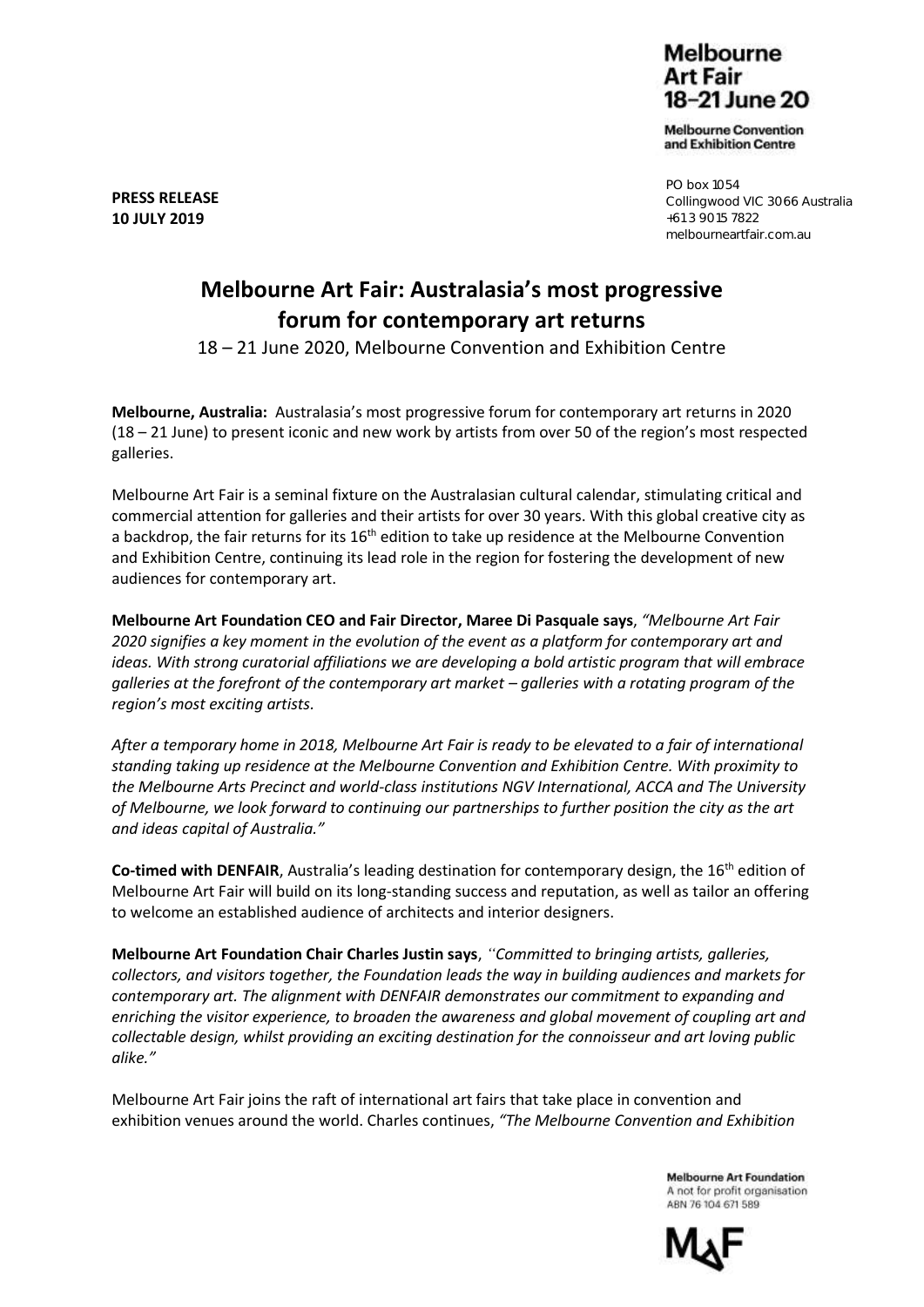Melbourne Art Fair 18-21 June 20

**Melbourne Convention** and Exhibition Centre

PO box 1054 Collingwood VIC 3066 Australia +61 3 9015 7822 melbourneartfair.com.au

# **Melbourne Art Fair: Australasia's most progressive forum for contemporary art returns**

18 – 21 June 2020, Melbourne Convention and Exhibition Centre

**Melbourne, Australia:** Australasia's most progressive forum for contemporary art returns in 2020 (18 – 21 June) to present iconic and new work by artists from over 50 of the region's most respected galleries.

Melbourne Art Fair is a seminal fixture on the Australasian cultural calendar, stimulating critical and commercial attention for galleries and their artists for over 30 years. With this global creative city as a backdrop, the fair returns for its 16<sup>th</sup> edition to take up residence at the Melbourne Convention and Exhibition Centre, continuing its lead role in the region for fostering the development of new audiences for contemporary art.

**Melbourne Art Foundation CEO and Fair Director, Maree Di Pasquale says**, *"Melbourne Art Fair 2020 signifies a key moment in the evolution of the event as a platform for contemporary art and ideas. With strong curatorial affiliations we are developing a bold artistic program that will embrace galleries at the forefront of the contemporary art market – galleries with a rotating program of the region's most exciting artists.*

*After a temporary home in 2018, Melbourne Art Fair is ready to be elevated to a fair of international standing taking up residence at the Melbourne Convention and Exhibition Centre. With proximity to the Melbourne Arts Precinct and world-class institutions NGV International, ACCA and The University of Melbourne, we look forward to continuing our partnerships to further position the city as the art and ideas capital of Australia."*

Co-timed with DENFAIR, Australia's leading destination for contemporary design, the 16<sup>th</sup> edition of Melbourne Art Fair will build on its long-standing success and reputation, as well as tailor an offering to welcome an established audience of architects and interior designers.

**Melbourne Art Foundation Chair Charles Justin says**, *"Committed to bringing artists, galleries, collectors, and visitors together, the Foundation leads the way in building audiences and markets for contemporary art. The alignment with DENFAIR demonstrates our commitment to expanding and enriching the visitor experience, to broaden the awareness and global movement of coupling art and collectable design, whilst providing an exciting destination for the connoisseur and art loving public alike."*

Melbourne Art Fair joins the raft of international art fairs that take place in convention and exhibition venues around the world. Charles continues, *"The Melbourne Convention and Exhibition* 

> **Melbourne Art Foundation** A not for profit organisation ARN 76 104 671 589



**PRESS RELEASE 10 JULY 2019**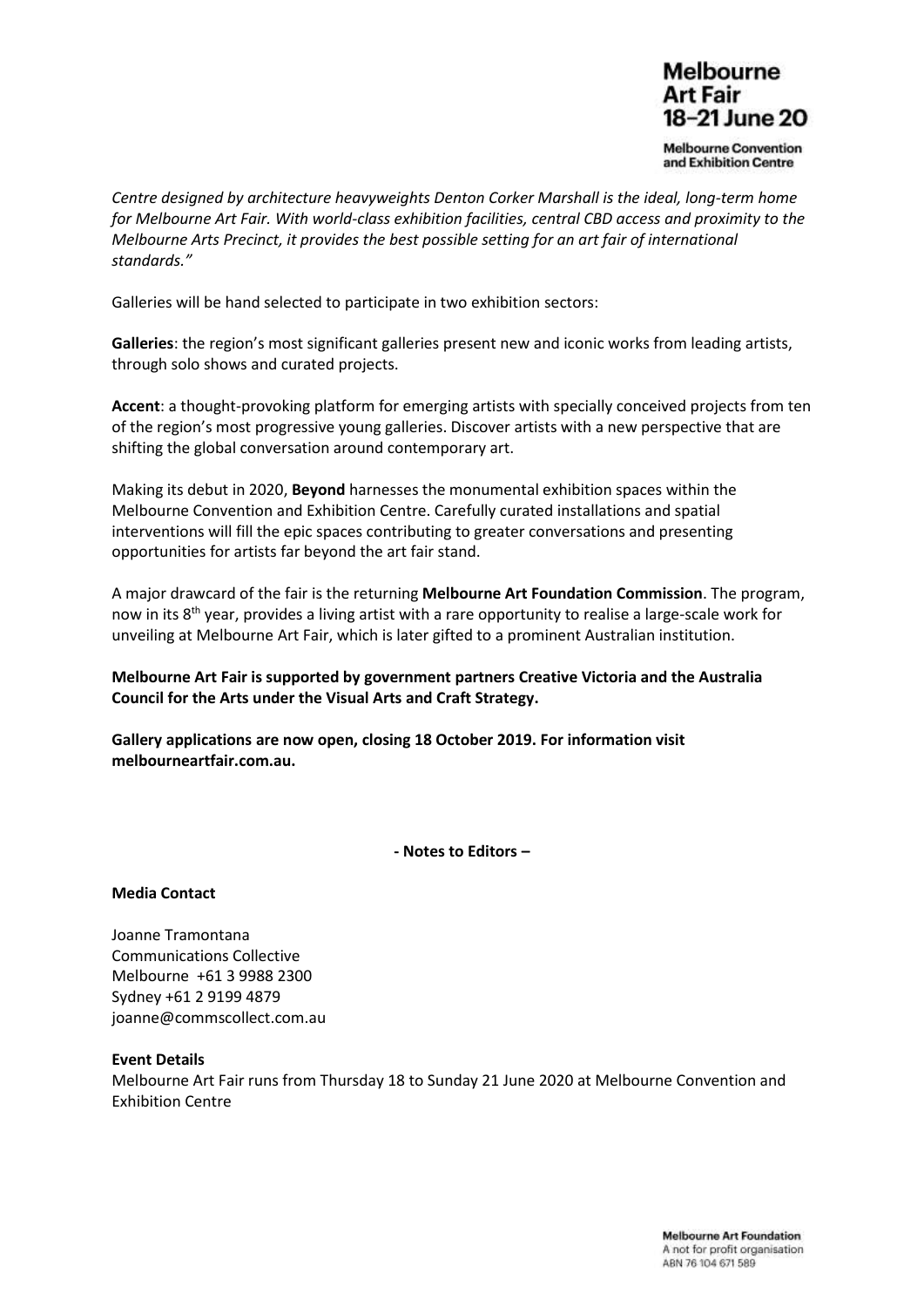## **Melbourne** Art Fair 18-21 June 20

**Melbourne Convention** and Exhibition Centre

*Centre designed by architecture heavyweights Denton Corker Marshall is the ideal, long-term home for Melbourne Art Fair. With world-class exhibition facilities, central CBD access and proximity to the Melbourne Arts Precinct, it provides the best possible setting for an art fair of international standards."*

Galleries will be hand selected to participate in two exhibition sectors:

**Galleries**: the region's most significant galleries present new and iconic works from leading artists, through solo shows and curated projects.

**Accent**: a thought-provoking platform for emerging artists with specially conceived projects from ten of the region's most progressive young galleries. Discover artists with a new perspective that are shifting the global conversation around contemporary art.

Making its debut in 2020, **Beyond** harnesses the monumental exhibition spaces within the Melbourne Convention and Exhibition Centre. Carefully curated installations and spatial interventions will fill the epic spaces contributing to greater conversations and presenting opportunities for artists far beyond the art fair stand.

A major drawcard of the fair is the returning **Melbourne Art Foundation Commission**. The program, now in its 8<sup>th</sup> year, provides a living artist with a rare opportunity to realise a large-scale work for unveiling at Melbourne Art Fair, which is later gifted to a prominent Australian institution.

**Melbourne Art Fair is supported by government partners Creative Victoria and the Australia Council for the Arts under the Visual Arts and Craft Strategy.** 

**Gallery applications are now open, closing 18 October 2019. For information visit melbourneartfair.com.au.** 

**- Notes to Editors –**

### **Media Contact**

Joanne Tramontana Communications Collective Melbourne +61 3 9988 2300 Sydney +61 2 9199 4879 [joanne@commscollect.com.au](mailto:joanne@commscollect.com.au)

### **Event Details**

Melbourne Art Fair runs from Thursday 18 to Sunday 21 June 2020 at Melbourne Convention and Exhibition Centre